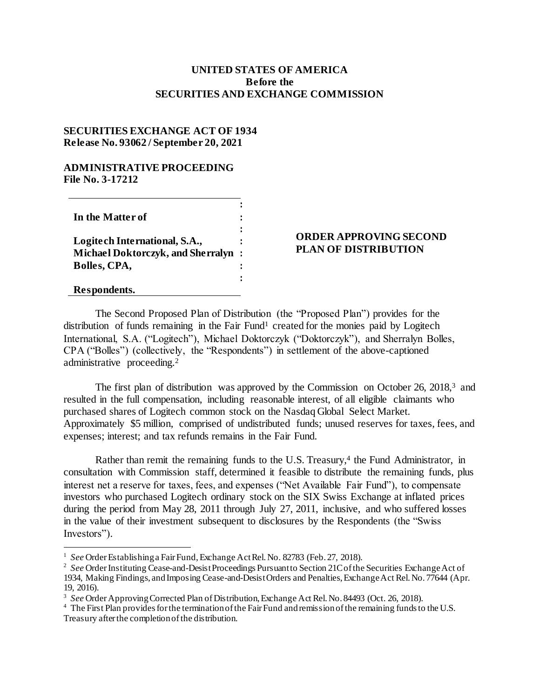## **UNITED STATES OF AMERICA Before the SECURITIES AND EXCHANGE COMMISSION**

## **SECURITIES EXCHANGE ACT OF 1934 Release No. 93062 / September 20, 2021**

## **ADMINISTRATIVE PROCEEDING File No. 3-17212**

| In the Matter of                          |  |
|-------------------------------------------|--|
|                                           |  |
| Logitech International, S.A.,             |  |
| <b>Michael Doktorczyk, and Sherralyn:</b> |  |
| Bolles, CPA,                              |  |
|                                           |  |

**Respondents.**

l

## **ORDER APPROVING SECOND PLAN OF DISTRIBUTION**

The Second Proposed Plan of Distribution (the "Proposed Plan") provides for the distribution of funds remaining in the Fair Fund<sup>1</sup> created for the monies paid by Logitech International, S.A. ("Logitech"), Michael Doktorczyk ("Doktorczyk"), and Sherralyn Bolles, CPA ("Bolles") (collectively, the "Respondents") in settlement of the above-captioned administrative proceeding.<sup>2</sup>

The first plan of distribution was approved by the Commission on October 26, 2018,<sup>3</sup> and resulted in the full compensation, including reasonable interest, of all eligible claimants who purchased shares of Logitech common stock on the Nasdaq Global Select Market. Approximately \$5 million, comprised of undistributed funds; unused reserves for taxes, fees, and expenses; interest; and tax refunds remains in the Fair Fund.

Rather than remit the remaining funds to the U.S. Treasury,<sup>4</sup> the Fund Administrator, in consultation with Commission staff, determined it feasible to distribute the remaining funds, plus interest net a reserve for taxes, fees, and expenses ("Net Available Fair Fund"), to compensate investors who purchased Logitech ordinary stock on the SIX Swiss Exchange at inflated prices during the period from May 28, 2011 through July 27, 2011, inclusive, and who suffered losses in the value of their investment subsequent to disclosures by the Respondents (the "Swiss Investors").

<sup>&</sup>lt;sup>1</sup> See Order Establishing a Fair Fund, Exchange Act Rel. No. 82783 (Feb. 27, 2018).

<sup>&</sup>lt;sup>2</sup> See Order Instituting Cease-and-Desist Proceedings Pursuant to Section 21C of the Securities Exchange Act of 1934, Making Findings, and Imposing Cease-and-Desist Orders and Penalties, Exchange Act Rel. No. 77644 (Apr. 19, 2016).

<sup>&</sup>lt;sup>3</sup> See Order Approving Corrected Plan of Distribution, Exchange Act Rel. No. 84493 (Oct. 26, 2018).

<sup>&</sup>lt;sup>4</sup> The First Plan provides for the termination of the Fair Fund and remission of the remaining funds to the U.S. Treasury after the completion of the distribution.